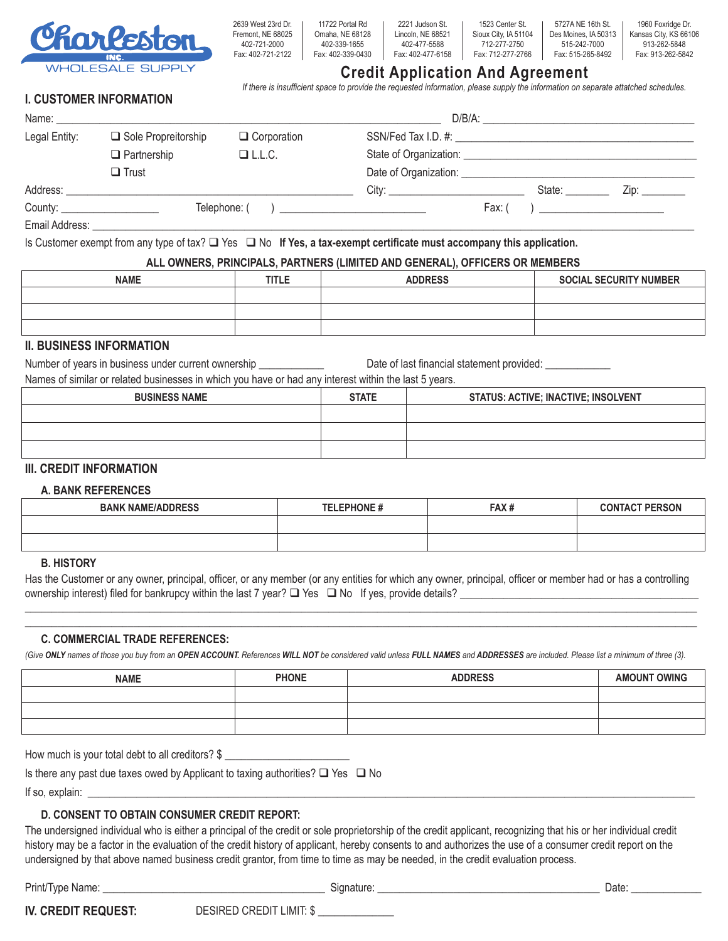

2639 West 23rd Dr. Fremont, NE 68025 402-721-2000 Fax: 402-721-2122 11722 Portal Rd Omaha, NE 68128 402-339-1655 Fax: 402-339-0430

2221 Judson St. Lincoln, NE 68521 402-477-5588 Fax: 402-477-6158

1523 Center St. Sioux City, IA 51104 712-277-2750 Fax: 712-277-2766

**Credit Application And Agreement**

*If there is insufficient space to provide the requested information, please supply the information on separate attatched schedules.*

5727A NE 16th St. Des Moines, IA 50313 515-242-7000 Fax: 515-265-8492

1960 Foxridge Dr. Kansas City, KS 66106 913-262-5848 Fax: 913-262-5842

# **I. CUSTOMER INFORMATION**

| Name: Name: Name: Name: Name: Name: Name: Name: Name: Name: Name: Name: Name: Name: Name: Name: Name: Name: Name: Name: Name: Name: Name: Name: Name: Name: Name: Name: Name: Name: Name: Name: Name: Name: Name: Name: Name: |                            |                    |                                                                                                                                                                                                                                                   |
|-------------------------------------------------------------------------------------------------------------------------------------------------------------------------------------------------------------------------------|----------------------------|--------------------|---------------------------------------------------------------------------------------------------------------------------------------------------------------------------------------------------------------------------------------------------|
| Legal Entity:                                                                                                                                                                                                                 | $\Box$ Sole Propreitorship | $\Box$ Corporation |                                                                                                                                                                                                                                                   |
|                                                                                                                                                                                                                               | $\Box$ Partnership         | $\Box$ L.L.C.      | State of Organization: State of Organization:                                                                                                                                                                                                     |
|                                                                                                                                                                                                                               | $\square$ Trust            |                    |                                                                                                                                                                                                                                                   |
|                                                                                                                                                                                                                               |                            |                    | State:<br>City:<br>Zip: will be a series of the series of the series of the series of the series of the series of the series of the series of the series of the series of the series of the series of the series of the series of the series of t |
| County: <u>_______________________</u>                                                                                                                                                                                        |                            | Telephone: ( )     | Fax: (                                                                                                                                                                                                                                            |
| Email Address:                                                                                                                                                                                                                |                            |                    |                                                                                                                                                                                                                                                   |

Is Customer exempt from any type of tax?  $\Box$  Yes  $\Box$  No **If Yes, a tax-exempt certificate must accompany this application.** 

### **ALL OWNERS, PRINCIPALS, PARTNERS (LIMITED AND GENERAL), OFFICERS OR MEMBERS**

| <b>NAME</b> | <b>TITLE</b> | <b>ADDRESS</b> | <b>SOCIAL SECURITY NUMBER</b> |
|-------------|--------------|----------------|-------------------------------|
|             |              |                |                               |
|             |              |                |                               |
|             |              |                |                               |

## **II. BUSINESS INFORMATION**

Number of years in business under current ownership \_\_\_\_\_\_\_\_\_\_\_\_\_\_\_\_ Date of last financial statement provided: \_\_\_\_\_\_\_\_\_\_\_\_

| Names of similar or related businesses in which you have or had any interest within the last 5 years. |  |
|-------------------------------------------------------------------------------------------------------|--|
|                                                                                                       |  |

| <b>BUSINESS NAME</b> | <b>STATE</b> | <b>STATUS: ACTIVE; INACTIVE; INSOLVENT</b> |
|----------------------|--------------|--------------------------------------------|
|                      |              |                                            |
|                      |              |                                            |
|                      |              |                                            |

### **III. CREDIT INFORMATION**

### **A. BANK REFERENCES**

| <b>BANK NAME/ADDRESS</b> | <b>TELEPHONE#</b> | FAX# | <b>CONTACT PERSON</b> |
|--------------------------|-------------------|------|-----------------------|
|                          |                   |      |                       |
|                          |                   |      |                       |

#### **B. HISTORY**

Has the Customer or any owner, principal, officer, or any member (or any entities for which any owner, principal, officer or member had or has a controlling ownership interest) filed for bankrupcy within the last 7 year?  $\Box$  Yes  $\Box$  No If yes, provide details?  $\mathcal{L}_\mathcal{L} = \{ \mathcal{L}_\mathcal{L} = \{ \mathcal{L}_\mathcal{L} = \{ \mathcal{L}_\mathcal{L} = \{ \mathcal{L}_\mathcal{L} = \{ \mathcal{L}_\mathcal{L} = \{ \mathcal{L}_\mathcal{L} = \{ \mathcal{L}_\mathcal{L} = \{ \mathcal{L}_\mathcal{L} = \{ \mathcal{L}_\mathcal{L} = \{ \mathcal{L}_\mathcal{L} = \{ \mathcal{L}_\mathcal{L} = \{ \mathcal{L}_\mathcal{L} = \{ \mathcal{L}_\mathcal{L} = \{ \mathcal{L}_\mathcal{$ 

 $\mathcal{L}_\mathcal{L} = \{ \mathcal{L}_\mathcal{L} = \{ \mathcal{L}_\mathcal{L} = \{ \mathcal{L}_\mathcal{L} = \{ \mathcal{L}_\mathcal{L} = \{ \mathcal{L}_\mathcal{L} = \{ \mathcal{L}_\mathcal{L} = \{ \mathcal{L}_\mathcal{L} = \{ \mathcal{L}_\mathcal{L} = \{ \mathcal{L}_\mathcal{L} = \{ \mathcal{L}_\mathcal{L} = \{ \mathcal{L}_\mathcal{L} = \{ \mathcal{L}_\mathcal{L} = \{ \mathcal{L}_\mathcal{L} = \{ \mathcal{L}_\mathcal{$ 

## **C. COMMERCIAL TRADE REFERENCES:**

(Give ONLY names of those you buy from an OPEN ACCOUNT. References WILL NOT be considered valid unless FULL NAMES and ADDRESSES are included. Please list a minimum of three (3).

| <b>NAME</b> | <b>PHONE</b> | <b>ADDRESS</b> | <b>AMOUNT OWING</b> |
|-------------|--------------|----------------|---------------------|
|             |              |                |                     |
|             |              |                |                     |
|             |              |                |                     |

How much is your total debt to all creditors? \$

Is there any past due taxes owed by Applicant to taxing authorities?  $\Box$  Yes  $\Box$  No

If so, explain: \_\_\_\_\_\_\_\_\_\_\_\_\_\_\_\_\_\_\_\_\_\_\_\_\_\_\_\_\_\_\_\_\_\_\_\_\_\_\_\_\_\_\_\_\_\_\_\_\_\_\_\_\_\_\_\_\_\_\_\_\_\_\_\_\_\_\_\_\_\_\_\_\_\_\_\_\_\_\_\_\_\_\_\_\_\_\_\_\_\_\_\_\_\_\_\_\_\_\_\_\_\_\_\_\_\_\_\_\_\_\_\_

## **D. CONSENT TO OBTAIN CONSUMER CREDIT REPORT:**

The undersigned individual who is either a principal of the credit or sole proprietorship of the credit applicant, recognizing that his or her individual credit history may be a factor in the evaluation of the credit history of applicant, hereby consents to and authorizes the use of a consumer credit report on the undersigned by that above named business credit grantor, from time to time as may be needed, in the credit evaluation process.

Print/Type Name: \_\_\_\_\_\_\_\_\_\_\_\_\_\_\_\_\_\_\_\_\_\_\_\_\_\_\_\_\_\_\_\_\_\_\_\_\_\_\_\_\_ Signature: \_\_\_\_\_\_\_\_\_\_\_\_\_\_\_\_\_\_\_\_\_\_\_\_\_\_\_\_\_\_\_\_\_\_\_\_\_\_\_\_\_ Date: \_\_\_\_\_\_\_\_\_\_\_\_\_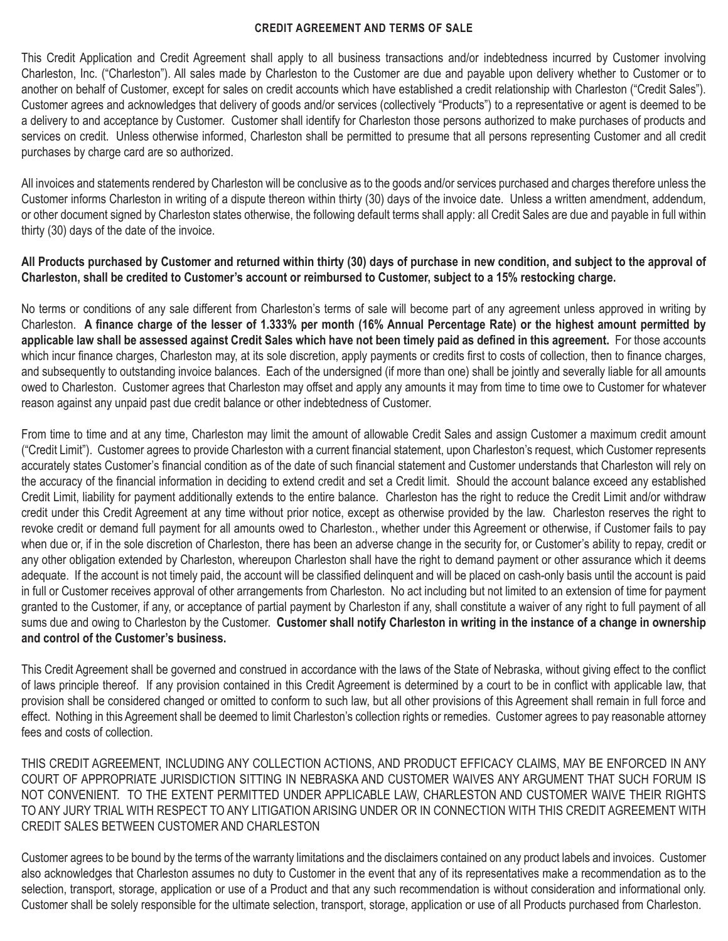#### **CREDIT AGREEMENT AND TERMS OF SALE**

This Credit Application and Credit Agreement shall apply to all business transactions and/or indebtedness incurred by Customer involving Charleston, Inc. ("Charleston"). All sales made by Charleston to the Customer are due and payable upon delivery whether to Customer or to another on behalf of Customer, except for sales on credit accounts which have established a credit relationship with Charleston ("Credit Sales"). Customer agrees and acknowledges that delivery of goods and/or services (collectively "Products") to a representative or agent is deemed to be a delivery to and acceptance by Customer. Customer shall identify for Charleston those persons authorized to make purchases of products and services on credit. Unless otherwise informed, Charleston shall be permitted to presume that all persons representing Customer and all credit purchases by charge card are so authorized.

All invoices and statements rendered by Charleston will be conclusive as to the goods and/or services purchased and charges therefore unless the Customer informs Charleston in writing of a dispute thereon within thirty (30) days of the invoice date. Unless a written amendment, addendum, or other document signed by Charleston states otherwise, the following default terms shall apply: all Credit Sales are due and payable in full within thirty (30) days of the date of the invoice.

## **All Products purchased by Customer and returned within thirty (30) days of purchase in new condition, and subject to the approval of Charleston, shall be credited to Customer's account or reimbursed to Customer, subject to a 15% restocking charge.**

No terms or conditions of any sale different from Charleston's terms of sale will become part of any agreement unless approved in writing by Charleston. **A finance charge of the lesser of 1.333% per month (16% Annual Percentage Rate) or the highest amount permitted by applicable law shall be assessed against Credit Sales which have not been timely paid as defined in this agreement.** For those accounts which incur finance charges, Charleston may, at its sole discretion, apply payments or credits first to costs of collection, then to finance charges, and subsequently to outstanding invoice balances. Each of the undersigned (if more than one) shall be jointly and severally liable for all amounts owed to Charleston. Customer agrees that Charleston may offset and apply any amounts it may from time to time owe to Customer for whatever reason against any unpaid past due credit balance or other indebtedness of Customer.

From time to time and at any time, Charleston may limit the amount of allowable Credit Sales and assign Customer a maximum credit amount ("Credit Limit"). Customer agrees to provide Charleston with a current financial statement, upon Charleston's request, which Customer represents accurately states Customer's financial condition as of the date of such financial statement and Customer understands that Charleston will rely on the accuracy of the financial information in deciding to extend credit and set a Credit limit. Should the account balance exceed any established Credit Limit, liability for payment additionally extends to the entire balance. Charleston has the right to reduce the Credit Limit and/or withdraw credit under this Credit Agreement at any time without prior notice, except as otherwise provided by the law. Charleston reserves the right to revoke credit or demand full payment for all amounts owed to Charleston., whether under this Agreement or otherwise, if Customer fails to pay when due or, if in the sole discretion of Charleston, there has been an adverse change in the security for, or Customer's ability to repay, credit or any other obligation extended by Charleston, whereupon Charleston shall have the right to demand payment or other assurance which it deems adequate. If the account is not timely paid, the account will be classified delinquent and will be placed on cash-only basis until the account is paid in full or Customer receives approval of other arrangements from Charleston. No act including but not limited to an extension of time for payment granted to the Customer, if any, or acceptance of partial payment by Charleston if any, shall constitute a waiver of any right to full payment of all sums due and owing to Charleston by the Customer. **Customer shall notify Charleston in writing in the instance of a change in ownership and control of the Customer's business.** 

This Credit Agreement shall be governed and construed in accordance with the laws of the State of Nebraska, without giving effect to the conflict of laws principle thereof. If any provision contained in this Credit Agreement is determined by a court to be in conflict with applicable law, that provision shall be considered changed or omitted to conform to such law, but all other provisions of this Agreement shall remain in full force and effect. Nothing in this Agreement shall be deemed to limit Charleston's collection rights or remedies. Customer agrees to pay reasonable attorney fees and costs of collection.

THIS CREDIT AGREEMENT, INCLUDING ANY COLLECTION ACTIONS, AND PRODUCT EFFICACY CLAIMS, MAY BE ENFORCED IN ANY COURT OF APPROPRIATE JURISDICTION SITTING IN NEBRASKA AND CUSTOMER WAIVES ANY ARGUMENT THAT SUCH FORUM IS NOT CONVENIENT. TO THE EXTENT PERMITTED UNDER APPLICABLE LAW, CHARLESTON AND CUSTOMER WAIVE THEIR RIGHTS TO ANY JURY TRIAL WITH RESPECT TO ANY LITIGATION ARISING UNDER OR IN CONNECTION WITH THIS CREDIT AGREEMENT WITH CREDIT SALES BETWEEN CUSTOMER AND CHARLESTON

Customer agrees to be bound by the terms of the warranty limitations and the disclaimers contained on any product labels and invoices. Customer also acknowledges that Charleston assumes no duty to Customer in the event that any of its representatives make a recommendation as to the selection, transport, storage, application or use of a Product and that any such recommendation is without consideration and informational only. Customer shall be solely responsible for the ultimate selection, transport, storage, application or use of all Products purchased from Charleston.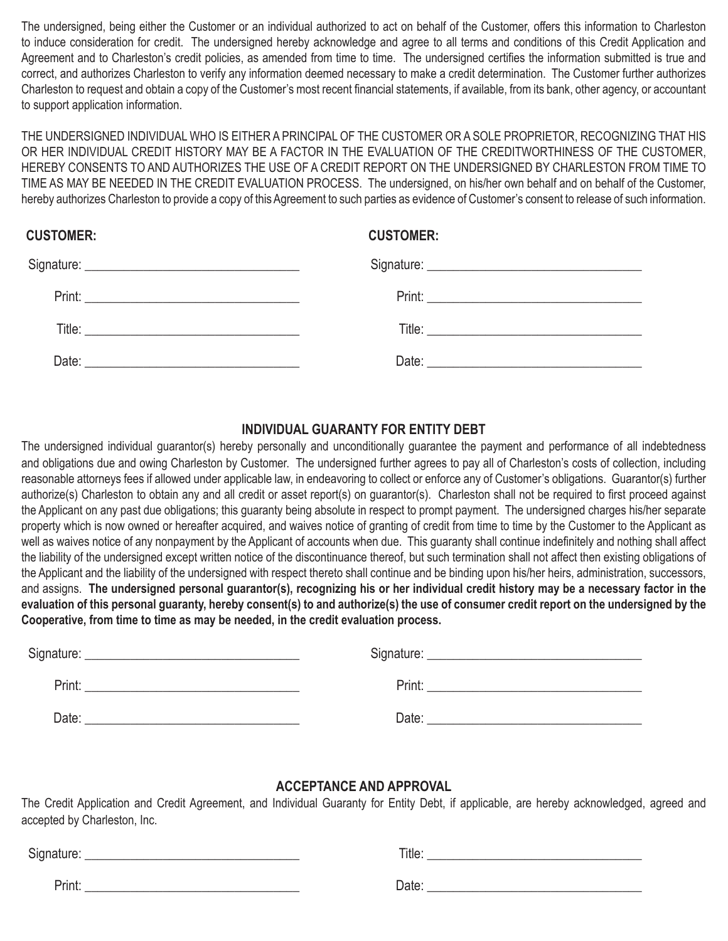The undersigned, being either the Customer or an individual authorized to act on behalf of the Customer, offers this information to Charleston to induce consideration for credit. The undersigned hereby acknowledge and agree to all terms and conditions of this Credit Application and Agreement and to Charleston's credit policies, as amended from time to time. The undersigned certifies the information submitted is true and correct, and authorizes Charleston to verify any information deemed necessary to make a credit determination. The Customer further authorizes Charleston to request and obtain a copy of the Customer's most recent financial statements, if available, from its bank, other agency, or accountant to support application information.

THE UNDERSIGNED INDIVIDUAL WHO IS EITHER A PRINCIPAL OF THE CUSTOMER OR A SOLE PROPRIETOR, RECOGNIZING THAT HIS OR HER INDIVIDUAL CREDIT HISTORY MAY BE A FACTOR IN THE EVALUATION OF THE CREDITWORTHINESS OF THE CUSTOMER, HEREBY CONSENTS TO AND AUTHORIZES THE USE OF A CREDIT REPORT ON THE UNDERSIGNED BY CHARLESTON FROM TIME TO TIME AS MAY BE NEEDED IN THE CREDIT EVALUATION PROCESS. The undersigned, on his/her own behalf and on behalf of the Customer, hereby authorizes Charleston to provide a copy of this Agreement to such parties as evidence of Customer's consent to release of such information.

# **CUSTOMER: CUSTOMER:**

| Date: <u>Date: Electronic Contract Contract Contract Contract Contract Contract Contract Contract Contract Contract Contract Contract Contract Contract Contract Contract Contract Contract Contract Contract Contract Contract </u> |  |
|--------------------------------------------------------------------------------------------------------------------------------------------------------------------------------------------------------------------------------------|--|

# **INDIVIDUAL GUARANTY FOR ENTITY DEBT**

The undersigned individual guarantor(s) hereby personally and unconditionally guarantee the payment and performance of all indebtedness and obligations due and owing Charleston by Customer. The undersigned further agrees to pay all of Charleston's costs of collection, including reasonable attorneys fees if allowed under applicable law, in endeavoring to collect or enforce any of Customer's obligations. Guarantor(s) further authorize(s) Charleston to obtain any and all credit or asset report(s) on guarantor(s). Charleston shall not be required to first proceed against the Applicant on any past due obligations; this guaranty being absolute in respect to prompt payment. The undersigned charges his/her separate property which is now owned or hereafter acquired, and waives notice of granting of credit from time to time by the Customer to the Applicant as well as waives notice of any nonpayment by the Applicant of accounts when due. This guaranty shall continue indefinitely and nothing shall affect the liability of the undersigned except written notice of the discontinuance thereof, but such termination shall not affect then existing obligations of the Applicant and the liability of the undersigned with respect thereto shall continue and be binding upon his/her heirs, administration, successors, and assigns. **The undersigned personal guarantor(s), recognizing his or her individual credit history may be a necessary factor in the evaluation of this personal guaranty, hereby consent(s) to and authorize(s) the use of consumer credit report on the undersigned by the Cooperative, from time to time as may be needed, in the credit evaluation process.**

| Signature: | Signature: |  |
|------------|------------|--|
| Print:     | Print:     |  |
| Date:      | Date:      |  |

# **ACCEPTANCE AND APPROVAL**

The Credit Application and Credit Agreement, and Individual Guaranty for Entity Debt, if applicable, are hereby acknowledged, agreed and accepted by Charleston, Inc.

| Signature: | Title: |  |
|------------|--------|--|
| Print:     | Date:  |  |